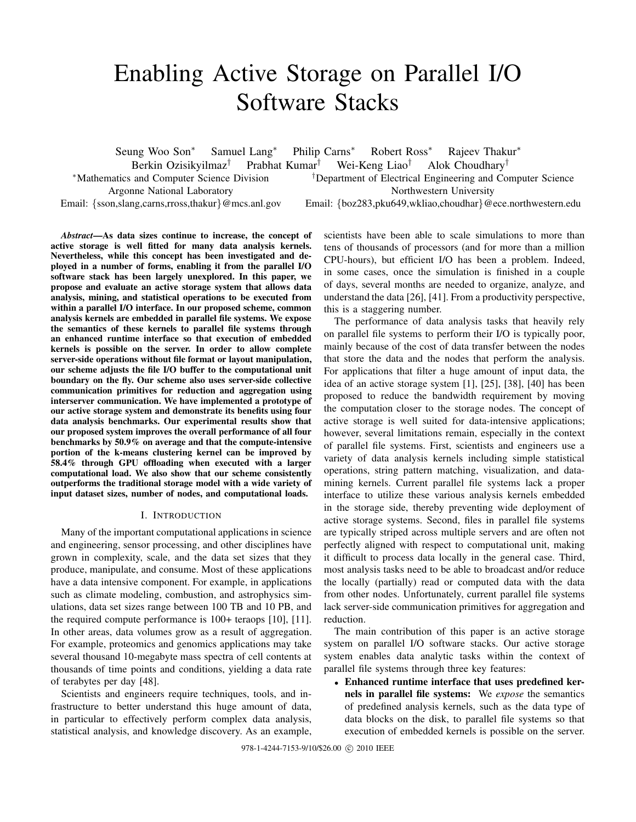# Enabling Active Storage on Parallel I/O Software Stacks

Seung Woo Son<sup>∗</sup> Samuel Lang<sup>∗</sup> Philip Carns<sup>∗</sup> Robert Ross<sup>∗</sup> Rajeev Thakur<sup>∗</sup> Berkin Ozisikyilmaz† Prabhat Kumar† Wei-Keng Liao† Alok Choudhary† <sup>∗</sup>Mathematics and Computer Science Division †Department of Electrical Engineering and Computer Science Argonne National Laboratory **Northwestern University** Northwestern University Email: {sson,slang,carns,rross,thakur}@mcs.anl.gov Email: {boz283,pku649,wkliao,choudhar}@ece.northwestern.edu

*Abstract***—As data sizes continue to increase, the concept of active storage is well fitted for many data analysis kernels. Nevertheless, while this concept has been investigated and deployed in a number of forms, enabling it from the parallel I/O software stack has been largely unexplored. In this paper, we propose and evaluate an active storage system that allows data analysis, mining, and statistical operations to be executed from within a parallel I/O interface. In our proposed scheme, common analysis kernels are embedded in parallel file systems. We expose the semantics of these kernels to parallel file systems through an enhanced runtime interface so that execution of embedded kernels is possible on the server. In order to allow complete server-side operations without file format or layout manipulation, our scheme adjusts the file I/O buffer to the computational unit boundary on the fly. Our scheme also uses server-side collective communication primitives for reduction and aggregation using interserver communication. We have implemented a prototype of our active storage system and demonstrate its benefits using four data analysis benchmarks. Our experimental results show that our proposed system improves the overall performance of all four benchmarks by 50.9% on average and that the compute-intensive portion of the k-means clustering kernel can be improved by 58.4% through GPU offloading when executed with a larger computational load. We also show that our scheme consistently outperforms the traditional storage model with a wide variety of input dataset sizes, number of nodes, and computational loads.**

## I. INTRODUCTION

Many of the important computational applications in science and engineering, sensor processing, and other disciplines have grown in complexity, scale, and the data set sizes that they produce, manipulate, and consume. Most of these applications have a data intensive component. For example, in applications such as climate modeling, combustion, and astrophysics simulations, data set sizes range between 100 TB and 10 PB, and the required compute performance is 100+ teraops [10], [11]. In other areas, data volumes grow as a result of aggregation. For example, proteomics and genomics applications may take several thousand 10-megabyte mass spectra of cell contents at thousands of time points and conditions, yielding a data rate of terabytes per day [48].

Scientists and engineers require techniques, tools, and infrastructure to better understand this huge amount of data, in particular to effectively perform complex data analysis, statistical analysis, and knowledge discovery. As an example, scientists have been able to scale simulations to more than tens of thousands of processors (and for more than a million CPU-hours), but efficient I/O has been a problem. Indeed, in some cases, once the simulation is finished in a couple of days, several months are needed to organize, analyze, and understand the data [26], [41]. From a productivity perspective, this is a staggering number.

The performance of data analysis tasks that heavily rely on parallel file systems to perform their I/O is typically poor, mainly because of the cost of data transfer between the nodes that store the data and the nodes that perform the analysis. For applications that filter a huge amount of input data, the idea of an active storage system [1], [25], [38], [40] has been proposed to reduce the bandwidth requirement by moving the computation closer to the storage nodes. The concept of active storage is well suited for data-intensive applications; however, several limitations remain, especially in the context of parallel file systems. First, scientists and engineers use a variety of data analysis kernels including simple statistical operations, string pattern matching, visualization, and datamining kernels. Current parallel file systems lack a proper interface to utilize these various analysis kernels embedded in the storage side, thereby preventing wide deployment of active storage systems. Second, files in parallel file systems are typically striped across multiple servers and are often not perfectly aligned with respect to computational unit, making it difficult to process data locally in the general case. Third, most analysis tasks need to be able to broadcast and/or reduce the locally (partially) read or computed data with the data from other nodes. Unfortunately, current parallel file systems lack server-side communication primitives for aggregation and reduction.

The main contribution of this paper is an active storage system on parallel I/O software stacks. Our active storage system enables data analytic tasks within the context of parallel file systems through three key features:

• **Enhanced runtime interface that uses predefined kernels in parallel file systems:** We *expose* the semantics of predefined analysis kernels, such as the data type of data blocks on the disk, to parallel file systems so that execution of embedded kernels is possible on the server.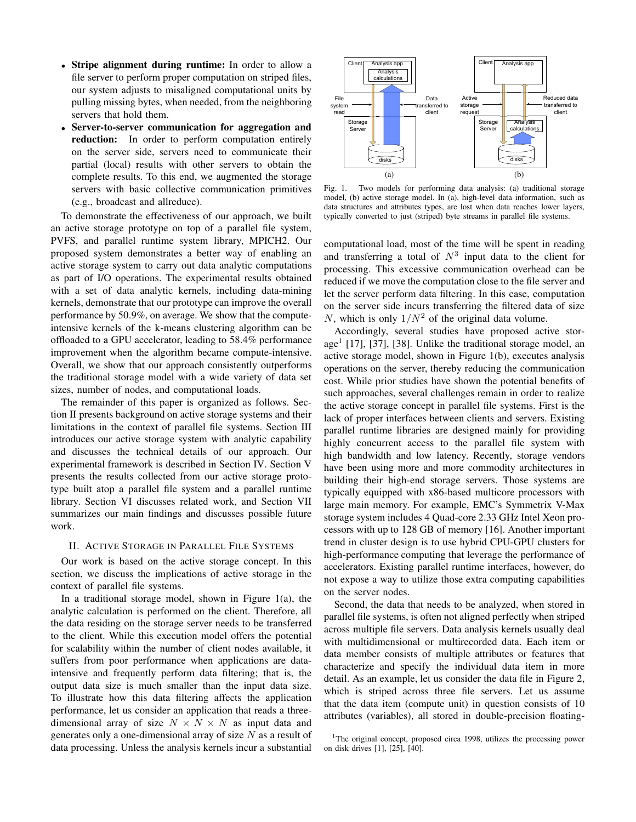- **Stripe alignment during runtime:** In order to allow a file server to perform proper computation on striped files, our system adjusts to misaligned computational units by pulling missing bytes, when needed, from the neighboring servers that hold them.
- **Server-to-server communication for aggregation and reduction:** In order to perform computation entirely on the server side, servers need to communicate their partial (local) results with other servers to obtain the complete results. To this end, we augmented the storage servers with basic collective communication primitives (e.g., broadcast and allreduce).

To demonstrate the effectiveness of our approach, we built an active storage prototype on top of a parallel file system, PVFS, and parallel runtime system library, MPICH2. Our proposed system demonstrates a better way of enabling an active storage system to carry out data analytic computations as part of I/O operations. The experimental results obtained with a set of data analytic kernels, including data-mining kernels, demonstrate that our prototype can improve the overall performance by 50.9%, on average. We show that the computeintensive kernels of the k-means clustering algorithm can be offloaded to a GPU accelerator, leading to 58.4% performance improvement when the algorithm became compute-intensive. Overall, we show that our approach consistently outperforms the traditional storage model with a wide variety of data set sizes, number of nodes, and computational loads.

The remainder of this paper is organized as follows. Section II presents background on active storage systems and their limitations in the context of parallel file systems. Section III introduces our active storage system with analytic capability and discusses the technical details of our approach. Our experimental framework is described in Section IV. Section V presents the results collected from our active storage prototype built atop a parallel file system and a parallel runtime library. Section VI discusses related work, and Section VII summarizes our main findings and discusses possible future work.

## II. ACTIVE STORAGE IN PARALLEL FILE SYSTEMS

Our work is based on the active storage concept. In this section, we discuss the implications of active storage in the context of parallel file systems.

In a traditional storage model, shown in Figure  $1(a)$ , the analytic calculation is performed on the client. Therefore, all the data residing on the storage server needs to be transferred to the client. While this execution model offers the potential for scalability within the number of client nodes available, it suffers from poor performance when applications are dataintensive and frequently perform data filtering; that is, the output data size is much smaller than the input data size. To illustrate how this data filtering affects the application performance, let us consider an application that reads a threedimensional array of size  $N \times N \times N$  as input data and generates only a one-dimensional array of size  $N$  as a result of data processing. Unless the analysis kernels incur a substantial



Fig. 1. Two models for performing data analysis: (a) traditional storage model, (b) active storage model. In (a), high-level data information, such as data structures and attributes types, are lost when data reaches lower layers, typically converted to just (striped) byte streams in parallel file systems.

computational load, most of the time will be spent in reading and transferring a total of  $N^3$  input data to the client for processing. This excessive communication overhead can be reduced if we move the computation close to the file server and let the server perform data filtering. In this case, computation on the server side incurs transferring the filtered data of size N, which is only  $1/N^2$  of the original data volume.

Accordingly, several studies have proposed active storage<sup>1</sup> [17], [37], [38]. Unlike the traditional storage model, an active storage model, shown in Figure 1(b), executes analysis operations on the server, thereby reducing the communication cost. While prior studies have shown the potential benefits of such approaches, several challenges remain in order to realize the active storage concept in parallel file systems. First is the lack of proper interfaces between clients and servers. Existing parallel runtime libraries are designed mainly for providing highly concurrent access to the parallel file system with high bandwidth and low latency. Recently, storage vendors have been using more and more commodity architectures in building their high-end storage servers. Those systems are typically equipped with x86-based multicore processors with large main memory. For example, EMC's Symmetrix V-Max storage system includes 4 Quad-core 2.33 GHz Intel Xeon processors with up to 128 GB of memory [16]. Another important trend in cluster design is to use hybrid CPU-GPU clusters for high-performance computing that leverage the performance of accelerators. Existing parallel runtime interfaces, however, do not expose a way to utilize those extra computing capabilities on the server nodes.

Second, the data that needs to be analyzed, when stored in parallel file systems, is often not aligned perfectly when striped across multiple file servers. Data analysis kernels usually deal with multidimensional or multirecorded data. Each item or data member consists of multiple attributes or features that characterize and specify the individual data item in more detail. As an example, let us consider the data file in Figure 2, which is striped across three file servers. Let us assume that the data item (compute unit) in question consists of 10 attributes (variables), all stored in double-precision floating-

<sup>&</sup>lt;sup>1</sup>The original concept, proposed circa 1998, utilizes the processing power on disk drives [1], [25], [40].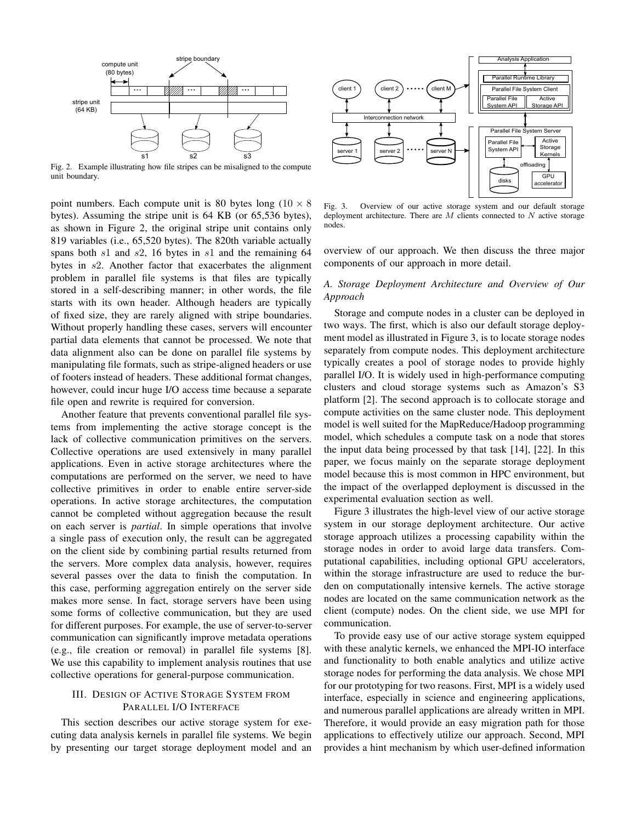

Fig. 2. Example illustrating how file stripes can be misaligned to the compute unit boundary.

point numbers. Each compute unit is 80 bytes long ( $10 \times 8$ ) bytes). Assuming the stripe unit is 64 KB (or 65,536 bytes), as shown in Figure 2, the original stripe unit contains only 819 variables (i.e., 65,520 bytes). The 820th variable actually spans both  $s1$  and  $s2$ , 16 bytes in  $s1$  and the remaining 64 bytes in s2. Another factor that exacerbates the alignment problem in parallel file systems is that files are typically stored in a self-describing manner; in other words, the file starts with its own header. Although headers are typically of fixed size, they are rarely aligned with stripe boundaries. Without properly handling these cases, servers will encounter partial data elements that cannot be processed. We note that data alignment also can be done on parallel file systems by manipulating file formats, such as stripe-aligned headers or use of footers instead of headers. These additional format changes, however, could incur huge I/O access time because a separate file open and rewrite is required for conversion.

Another feature that prevents conventional parallel file systems from implementing the active storage concept is the lack of collective communication primitives on the servers. Collective operations are used extensively in many parallel applications. Even in active storage architectures where the computations are performed on the server, we need to have collective primitives in order to enable entire server-side operations. In active storage architectures, the computation cannot be completed without aggregation because the result on each server is *partial*. In simple operations that involve a single pass of execution only, the result can be aggregated on the client side by combining partial results returned from the servers. More complex data analysis, however, requires several passes over the data to finish the computation. In this case, performing aggregation entirely on the server side makes more sense. In fact, storage servers have been using some forms of collective communication, but they are used for different purposes. For example, the use of server-to-server communication can significantly improve metadata operations (e.g., file creation or removal) in parallel file systems [8]. We use this capability to implement analysis routines that use collective operations for general-purpose communication.

# III. DESIGN OF ACTIVE STORAGE SYSTEM FROM PARALLEL I/O INTERFACE

This section describes our active storage system for executing data analysis kernels in parallel file systems. We begin by presenting our target storage deployment model and an



Fig. 3. Overview of our active storage system and our default storage deployment architecture. There are  $M$  clients connected to  $N$  active storage nodes.

overview of our approach. We then discuss the three major components of our approach in more detail.

# *A. Storage Deployment Architecture and Overview of Our Approach*

Storage and compute nodes in a cluster can be deployed in two ways. The first, which is also our default storage deployment model as illustrated in Figure 3, is to locate storage nodes separately from compute nodes. This deployment architecture typically creates a pool of storage nodes to provide highly parallel I/O. It is widely used in high-performance computing clusters and cloud storage systems such as Amazon's S3 platform [2]. The second approach is to collocate storage and compute activities on the same cluster node. This deployment model is well suited for the MapReduce/Hadoop programming model, which schedules a compute task on a node that stores the input data being processed by that task [14], [22]. In this paper, we focus mainly on the separate storage deployment model because this is most common in HPC environment, but the impact of the overlapped deployment is discussed in the experimental evaluation section as well.

Figure 3 illustrates the high-level view of our active storage system in our storage deployment architecture. Our active storage approach utilizes a processing capability within the storage nodes in order to avoid large data transfers. Computational capabilities, including optional GPU accelerators, within the storage infrastructure are used to reduce the burden on computationally intensive kernels. The active storage nodes are located on the same communication network as the client (compute) nodes. On the client side, we use MPI for communication.

To provide easy use of our active storage system equipped with these analytic kernels, we enhanced the MPI-IO interface and functionality to both enable analytics and utilize active storage nodes for performing the data analysis. We chose MPI for our prototyping for two reasons. First, MPI is a widely used interface, especially in science and engineering applications, and numerous parallel applications are already written in MPI. Therefore, it would provide an easy migration path for those applications to effectively utilize our approach. Second, MPI provides a hint mechanism by which user-defined information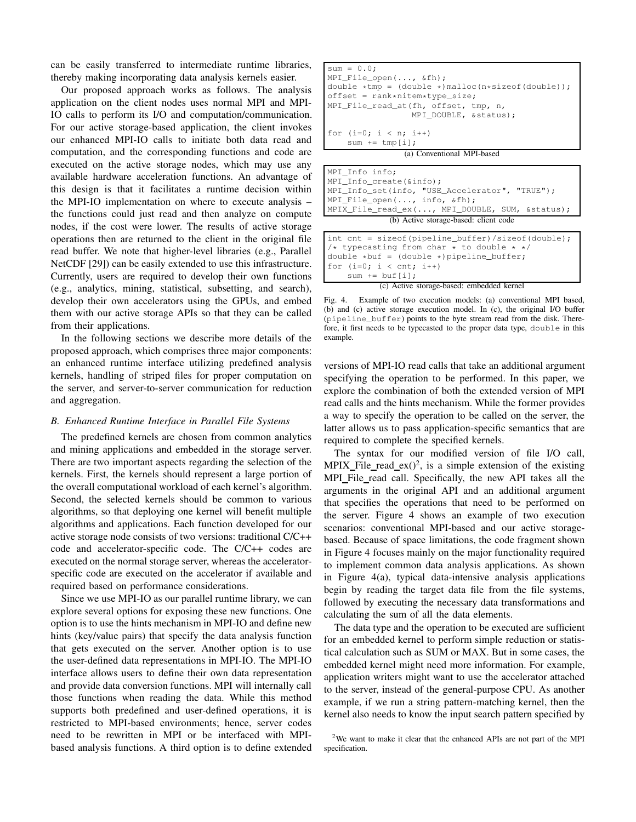can be easily transferred to intermediate runtime libraries, thereby making incorporating data analysis kernels easier.

Our proposed approach works as follows. The analysis application on the client nodes uses normal MPI and MPI-IO calls to perform its I/O and computation/communication. For our active storage-based application, the client invokes our enhanced MPI-IO calls to initiate both data read and computation, and the corresponding functions and code are executed on the active storage nodes, which may use any available hardware acceleration functions. An advantage of this design is that it facilitates a runtime decision within the MPI-IO implementation on where to execute analysis – the functions could just read and then analyze on compute nodes, if the cost were lower. The results of active storage operations then are returned to the client in the original file read buffer. We note that higher-level libraries (e.g., Parallel NetCDF [29]) can be easily extended to use this infrastructure. Currently, users are required to develop their own functions (e.g., analytics, mining, statistical, subsetting, and search), develop their own accelerators using the GPUs, and embed them with our active storage APIs so that they can be called from their applications.

In the following sections we describe more details of the proposed approach, which comprises three major components: an enhanced runtime interface utilizing predefined analysis kernels, handling of striped files for proper computation on the server, and server-to-server communication for reduction and aggregation.

#### *B. Enhanced Runtime Interface in Parallel File Systems*

The predefined kernels are chosen from common analytics and mining applications and embedded in the storage server. There are two important aspects regarding the selection of the kernels. First, the kernels should represent a large portion of the overall computational workload of each kernel's algorithm. Second, the selected kernels should be common to various algorithms, so that deploying one kernel will benefit multiple algorithms and applications. Each function developed for our active storage node consists of two versions: traditional C/C++ code and accelerator-specific code. The C/C++ codes are executed on the normal storage server, whereas the acceleratorspecific code are executed on the accelerator if available and required based on performance considerations.

Since we use MPI-IO as our parallel runtime library, we can explore several options for exposing these new functions. One option is to use the hints mechanism in MPI-IO and define new hints (key/value pairs) that specify the data analysis function that gets executed on the server. Another option is to use the user-defined data representations in MPI-IO. The MPI-IO interface allows users to define their own data representation and provide data conversion functions. MPI will internally call those functions when reading the data. While this method supports both predefined and user-defined operations, it is restricted to MPI-based environments; hence, server codes need to be rewritten in MPI or be interfaced with MPIbased analysis functions. A third option is to define extended

| $sum = 0.0$ :<br>$MPI_File\_open(, & fh);$<br>double $\star$ tmp = (double $\star$ )malloc(n $\star$ sizeof(double));<br>$offset = rank*nitem*type size;$<br>MPI_File_read_at(fh, offset, tmp, n, |  |  |  |  |  |  |
|---------------------------------------------------------------------------------------------------------------------------------------------------------------------------------------------------|--|--|--|--|--|--|
| MPI DOUBLE, & status);                                                                                                                                                                            |  |  |  |  |  |  |
| for $(i=0; i < n; i++)$<br>sum $+=$ tmp[i];                                                                                                                                                       |  |  |  |  |  |  |
| (a) Conventional MPI-based                                                                                                                                                                        |  |  |  |  |  |  |
| MPI Info info;<br>MPI Info create $(\sin f \circ)$ ;                                                                                                                                              |  |  |  |  |  |  |

| FILE THEO CLEATE (WINLOT,                                                                                                                                                                                                          |  |  |  |  |  |  |
|------------------------------------------------------------------------------------------------------------------------------------------------------------------------------------------------------------------------------------|--|--|--|--|--|--|
| MPI Info set(info, "USE Accelerator", "TRUE");                                                                                                                                                                                     |  |  |  |  |  |  |
| MPI_File_open $(\ldots, \text{info}, \text{fh})$ ;                                                                                                                                                                                 |  |  |  |  |  |  |
| MPIX_File_read_ex(, MPI_DOUBLE, SUM, &status);                                                                                                                                                                                     |  |  |  |  |  |  |
| (b) Active storage-based: client code                                                                                                                                                                                              |  |  |  |  |  |  |
|                                                                                                                                                                                                                                    |  |  |  |  |  |  |
| . The contract of the contract the contract of $\mathcal{L}$ , the contract of the contract of the contract of the contract of the contract of the contract of the contract of the contract of the contract of the contract of the |  |  |  |  |  |  |

| int cnt = $sizeof(pipeline buffer)/sizeof(double);$ |  |  |  |  |  |  |  |
|-----------------------------------------------------|--|--|--|--|--|--|--|
| /* typecasting from char * to double * */           |  |  |  |  |  |  |  |
| double *buf = $(double * ) pipeline_buffer;$        |  |  |  |  |  |  |  |
| for $(i=0; i < crit; i++)$                          |  |  |  |  |  |  |  |
| sum $+=$ buf[i];                                    |  |  |  |  |  |  |  |
| (c) Active storage-based: embedded kernel           |  |  |  |  |  |  |  |

Fig. 4. Example of two execution models: (a) conventional MPI based, (b) and (c) active storage execution model. In (c), the original I/O buffer (pipeline\_buffer) points to the byte stream read from the disk. Therefore, it first needs to be typecasted to the proper data type, double in this example.

versions of MPI-IO read calls that take an additional argument specifying the operation to be performed. In this paper, we explore the combination of both the extended version of MPI read calls and the hints mechanism. While the former provides a way to specify the operation to be called on the server, the latter allows us to pass application-specific semantics that are required to complete the specified kernels.

The syntax for our modified version of file I/O call, MPIX\_File\_read\_ex $()^2$ , is a simple extension of the existing MPI\_File\_read call. Specifically, the new API takes all the arguments in the original API and an additional argument that specifies the operations that need to be performed on the server. Figure 4 shows an example of two execution scenarios: conventional MPI-based and our active storagebased. Because of space limitations, the code fragment shown in Figure 4 focuses mainly on the major functionality required to implement common data analysis applications. As shown in Figure 4(a), typical data-intensive analysis applications begin by reading the target data file from the file systems, followed by executing the necessary data transformations and calculating the sum of all the data elements.

The data type and the operation to be executed are sufficient for an embedded kernel to perform simple reduction or statistical calculation such as SUM or MAX. But in some cases, the embedded kernel might need more information. For example, application writers might want to use the accelerator attached to the server, instead of the general-purpose CPU. As another example, if we run a string pattern-matching kernel, then the kernel also needs to know the input search pattern specified by

<sup>2</sup>We want to make it clear that the enhanced APIs are not part of the MPI specification.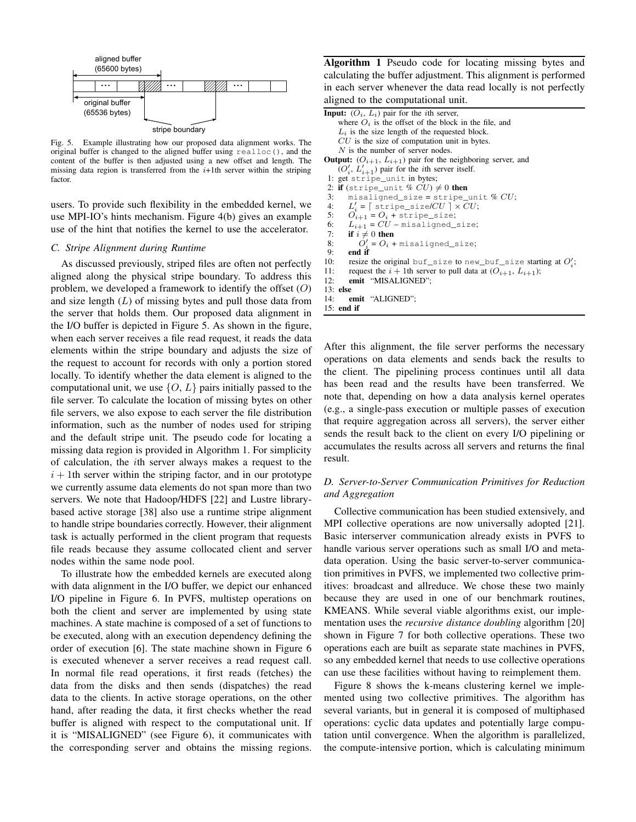

Fig. 5. Example illustrating how our proposed data alignment works. Th original buffer is changed to the aligned buffer using  $real()$ , and the content of the buffer is then adjusted using a new offset and length. Th missing data region is transferred from the  $i+1$ th server within the stripin factor.

users. To provide such flexibility in the embedded kernel, we use MPI-IO's hints mechanism. Figure 4(b) gives an example use of the hint that notifies the kernel to use the accelerator.

#### *C. Stripe Alignment during Runtime*

As discussed previously, striped files are often not perfectly aligned along the physical stripe boundary. To address this problem, we developed a framework to identify the offset (O and size length  $(L)$  of missing bytes and pull those data from the server that holds them. Our proposed data alignment in the I/O buffer is depicted in Figure 5. As shown in the figure, when each server receives a file read request, it reads the data elements within the stripe boundary and adjusts the size of the request to account for records with only a portion stored locally. To identify whether the data element is aligned to the computational unit, we use  $\{O, L\}$  pairs initially passed to the file server. To calculate the location of missing bytes on other file servers, we also expose to each server the file distribution information, such as the number of nodes used for striping and the default stripe unit. The pseudo code for locating a missing data region is provided in Algorithm 1. For simplicity of calculation, the ith server always makes a request to the  $i + 1$ th server within the striping factor, and in our prototype we currently assume data elements do not span more than two servers. We note that Hadoop/HDFS [22] and Lustre librarybased active storage [38] also use a runtime stripe alignment to handle stripe boundaries correctly. However, their alignment task is actually performed in the client program that requests file reads because they assume collocated client and server nodes within the same node pool.

To illustrate how the embedded kernels are executed along with data alignment in the I/O buffer, we depict our enhanced I/O pipeline in Figure 6. In PVFS, multistep operations on both the client and server are implemented by using state machines. A state machine is composed of a set of functions to be executed, along with an execution dependency defining the order of execution [6]. The state machine shown in Figure 6 is executed whenever a server receives a read request call. In normal file read operations, it first reads (fetches) the data from the disks and then sends (dispatches) the read data to the clients. In active storage operations, on the other hand, after reading the data, it first checks whether the read buffer is aligned with respect to the computational unit. If it is "MISALIGNED" (see Figure 6), it communicates with the corresponding server and obtains the missing regions.

**Algorithm 1** Pseudo code for locating missing bytes and calculating the buffer adjustment. This alignment is performed in each server whenever the data read locally is not perfectly aligned to the computational unit.

| <b>Input:</b> $(O_i, L_i)$ pair for the <i>i</i> th server,                      |  |  |  |  |  |
|----------------------------------------------------------------------------------|--|--|--|--|--|
| where $O_i$ is the offset of the block in the file, and                          |  |  |  |  |  |
| $L_i$ is the size length of the requested block.                                 |  |  |  |  |  |
| $CU$ is the size of computation unit in bytes.                                   |  |  |  |  |  |
| $N$ is the number of server nodes.<br>e                                          |  |  |  |  |  |
| <b>Output:</b> $(O_{i+1}, L_{i+1})$ pair for the neighboring server, and<br>e    |  |  |  |  |  |
| $(O'_i, L'_{i+1})$ pair for the <i>i</i> th server itself.                       |  |  |  |  |  |
| 1: get stripe_unit in bytes;                                                     |  |  |  |  |  |
| 2: if (stripe_unit % $CU$ ) $\neq$ 0 then                                        |  |  |  |  |  |
| misaligned_size = stripe_unit % $CU$ ;<br>3:                                     |  |  |  |  |  |
| e<br>4: $L'_i = \lceil$ stripe_size/ $CU \rceil \times CU$ ;                     |  |  |  |  |  |
| 5: $O_{i+1} = O_i + \text{strip}$ size;<br>e                                     |  |  |  |  |  |
| 6: $L_{i+1} = CU$ - misaligned_size;                                             |  |  |  |  |  |
| 7:<br>if $i \neq 0$ then                                                         |  |  |  |  |  |
| $O_i' = O_i$ + misaligned_size;<br>8:                                            |  |  |  |  |  |
| end if<br>9:                                                                     |  |  |  |  |  |
| 10:<br>resize the original buf_size to new_buf_size starting at $O_i$ ;<br>y     |  |  |  |  |  |
| 11:<br>request the $i + 1$ th server to pull data at $(O_{i+1}, L_{i+1})$ ;<br>S |  |  |  |  |  |
| 12:<br>emit "MISALIGNED";                                                        |  |  |  |  |  |
| $\mathcal{L}$<br>$13:$ else                                                      |  |  |  |  |  |
| emit "ALIGNED":<br>14:<br>n                                                      |  |  |  |  |  |
| $15:$ end if<br>n                                                                |  |  |  |  |  |
|                                                                                  |  |  |  |  |  |

After this alignment, the file server performs the necessary operations on data elements and sends back the results to the client. The pipelining process continues until all data has been read and the results have been transferred. We note that, depending on how a data analysis kernel operates (e.g., a single-pass execution or multiple passes of execution that require aggregation across all servers), the server either sends the result back to the client on every I/O pipelining or accumulates the results across all servers and returns the final result.

# *D. Server-to-Server Communication Primitives for Reduction and Aggregation*

Collective communication has been studied extensively, and MPI collective operations are now universally adopted [21]. Basic interserver communication already exists in PVFS to handle various server operations such as small I/O and metadata operation. Using the basic server-to-server communication primitives in PVFS, we implemented two collective primitives: broadcast and allreduce. We chose these two mainly because they are used in one of our benchmark routines, KMEANS. While several viable algorithms exist, our implementation uses the *recursive distance doubling* algorithm [20] shown in Figure 7 for both collective operations. These two operations each are built as separate state machines in PVFS, so any embedded kernel that needs to use collective operations can use these facilities without having to reimplement them.

Figure 8 shows the k-means clustering kernel we implemented using two collective primitives. The algorithm has several variants, but in general it is composed of multiphased operations: cyclic data updates and potentially large computation until convergence. When the algorithm is parallelized, the compute-intensive portion, which is calculating minimum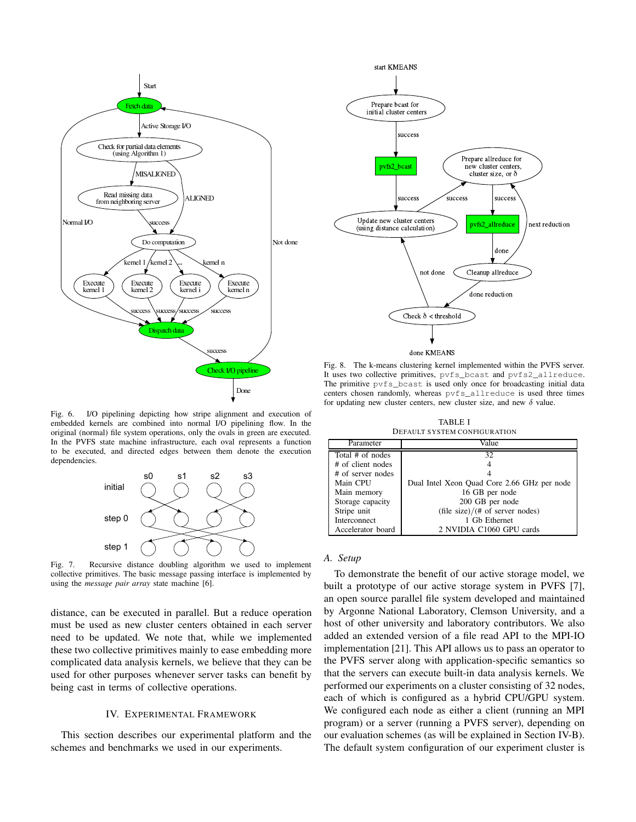

Fig. 6. I/O pipelining depicting how stripe alignment and execution of embedded kernels are combined into normal I/O pipelining flow. In the original (normal) file system operations, only the ovals in green are executed. In the PVFS state machine infrastructure, each oval represents a function to be executed, and directed edges between them denote the execution dependencies.



Fig. 7. Recursive distance doubling algorithm we used to implement collective primitives. The basic message passing interface is implemented by using the *message pair array* state machine [6].

distance, can be executed in parallel. But a reduce operation must be used as new cluster centers obtained in each server need to be updated. We note that, while we implemented these two collective primitives mainly to ease embedding more complicated data analysis kernels, we believe that they can be used for other purposes whenever server tasks can benefit by being cast in terms of collective operations.

## IV. EXPERIMENTAL FRAMEWORK

This section describes our experimental platform and the schemes and benchmarks we used in our experiments.



Fig. 8. The k-means clustering kernel implemented within the PVFS server. It uses two collective primitives, pvfs\_bcast and pvfs2\_allreduce. The primitive pvfs\_bcast is used only once for broadcasting initial data centers chosen randomly, whereas pvfs\_allreduce is used three times for updating new cluster centers, new cluster size, and new  $\delta$  value.

TABLE I DEFAULT SYSTEM CONFIGURATION

| Parameter         | Value                                       |  |  |
|-------------------|---------------------------------------------|--|--|
| Total # of nodes  | 32                                          |  |  |
| # of client nodes | 4                                           |  |  |
| # of server nodes |                                             |  |  |
| Main CPU          | Dual Intel Xeon Quad Core 2.66 GHz per node |  |  |
| Main memory       | 16 GB per node                              |  |  |
| Storage capacity  | 200 GB per node                             |  |  |
| Stripe unit       | (file size)/ $(\#$ of server nodes)         |  |  |
| Interconnect      | 1 Gb Ethernet                               |  |  |
| Accelerator board | 2 NVIDIA C1060 GPU cards                    |  |  |

## *A. Setup*

To demonstrate the benefit of our active storage model, we built a prototype of our active storage system in PVFS [7], an open source parallel file system developed and maintained by Argonne National Laboratory, Clemson University, and a host of other university and laboratory contributors. We also added an extended version of a file read API to the MPI-IO implementation [21]. This API allows us to pass an operator to the PVFS server along with application-specific semantics so that the servers can execute built-in data analysis kernels. We performed our experiments on a cluster consisting of 32 nodes, each of which is configured as a hybrid CPU/GPU system. We configured each node as either a client (running an MPI program) or a server (running a PVFS server), depending on our evaluation schemes (as will be explained in Section IV-B). The default system configuration of our experiment cluster is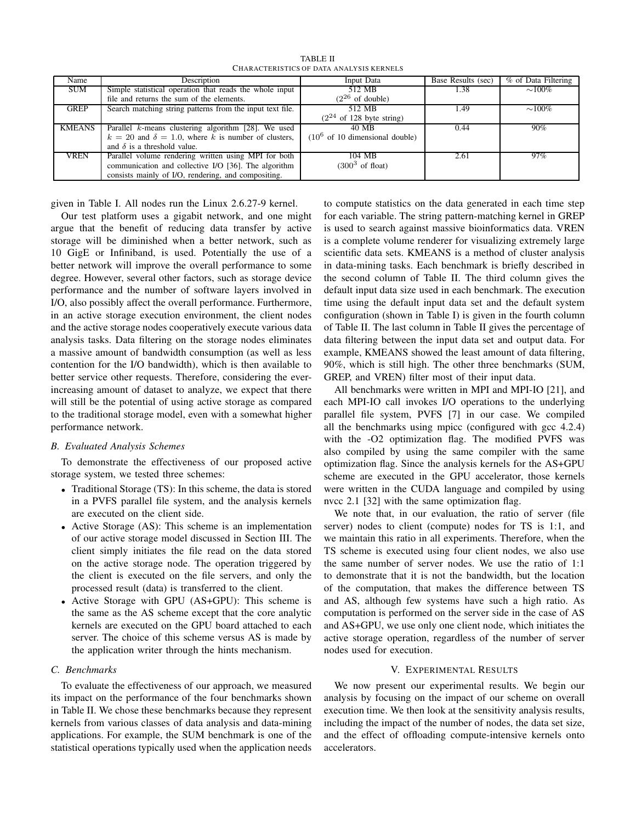| Name          | Description                                                  | Input Data                                         | Base Results (sec) | % of Data Filtering |
|---------------|--------------------------------------------------------------|----------------------------------------------------|--------------------|---------------------|
| <b>SUM</b>    | Simple statistical operation that reads the whole input      | 512 MB                                             | 1.38               | $\sim$ 100%         |
|               | file and returns the sum of the elements.                    | $(2^{26}$ of double)                               |                    |                     |
| <b>GREP</b>   | Search matching string patterns from the input text file.    | 512 MB                                             | 1.49               | $\sim$ 100%         |
|               |                                                              | $(2^{24}$ of 128 byte string)                      |                    |                     |
| <b>KMEANS</b> | Parallel $k$ -means clustering algorithm [28]. We used       | 40 MB                                              | 0.44               | $90\%$              |
|               | $k = 20$ and $\delta = 1.0$ , where k is number of clusters, | $(10^6 \text{ of } 10 \text{ dimensional double})$ |                    |                     |
|               | and $\delta$ is a threshold value.                           |                                                    |                    |                     |
| VREN          | Parallel volume rendering written using MPI for both         | 104 MB                                             | 2.61               | 97%                 |
|               | communication and collective I/O [36]. The algorithm         | $(3003$ of float)                                  |                    |                     |
|               | consists mainly of I/O, rendering, and compositing.          |                                                    |                    |                     |

TABLE II CHARACTERISTICS OF DATA ANALYSIS KERNELS

given in Table I. All nodes run the Linux 2.6.27-9 kernel.

Our test platform uses a gigabit network, and one might argue that the benefit of reducing data transfer by active storage will be diminished when a better network, such as 10 GigE or Infiniband, is used. Potentially the use of a better network will improve the overall performance to some degree. However, several other factors, such as storage device performance and the number of software layers involved in I/O, also possibly affect the overall performance. Furthermore, in an active storage execution environment, the client nodes and the active storage nodes cooperatively execute various data analysis tasks. Data filtering on the storage nodes eliminates a massive amount of bandwidth consumption (as well as less contention for the I/O bandwidth), which is then available to better service other requests. Therefore, considering the everincreasing amount of dataset to analyze, we expect that there will still be the potential of using active storage as compared to the traditional storage model, even with a somewhat higher performance network.

## *B. Evaluated Analysis Schemes*

To demonstrate the effectiveness of our proposed active storage system, we tested three schemes:

- Traditional Storage (TS): In this scheme, the data is stored in a PVFS parallel file system, and the analysis kernels are executed on the client side.
- Active Storage (AS): This scheme is an implementation of our active storage model discussed in Section III. The client simply initiates the file read on the data stored on the active storage node. The operation triggered by the client is executed on the file servers, and only the processed result (data) is transferred to the client.
- Active Storage with GPU (AS+GPU): This scheme is the same as the AS scheme except that the core analytic kernels are executed on the GPU board attached to each server. The choice of this scheme versus AS is made by the application writer through the hints mechanism.

## *C. Benchmarks*

To evaluate the effectiveness of our approach, we measured its impact on the performance of the four benchmarks shown in Table II. We chose these benchmarks because they represent kernels from various classes of data analysis and data-mining applications. For example, the SUM benchmark is one of the statistical operations typically used when the application needs to compute statistics on the data generated in each time step for each variable. The string pattern-matching kernel in GREP is used to search against massive bioinformatics data. VREN is a complete volume renderer for visualizing extremely large scientific data sets. KMEANS is a method of cluster analysis in data-mining tasks. Each benchmark is briefly described in the second column of Table II. The third column gives the default input data size used in each benchmark. The execution time using the default input data set and the default system configuration (shown in Table I) is given in the fourth column of Table II. The last column in Table II gives the percentage of data filtering between the input data set and output data. For example, KMEANS showed the least amount of data filtering, 90%, which is still high. The other three benchmarks (SUM, GREP, and VREN) filter most of their input data.

All benchmarks were written in MPI and MPI-IO [21], and each MPI-IO call invokes I/O operations to the underlying parallel file system, PVFS [7] in our case. We compiled all the benchmarks using mpicc (configured with gcc 4.2.4) with the -O2 optimization flag. The modified PVFS was also compiled by using the same compiler with the same optimization flag. Since the analysis kernels for the AS+GPU scheme are executed in the GPU accelerator, those kernels were written in the CUDA language and compiled by using nvcc 2.1 [32] with the same optimization flag.

We note that, in our evaluation, the ratio of server (file server) nodes to client (compute) nodes for TS is 1:1, and we maintain this ratio in all experiments. Therefore, when the TS scheme is executed using four client nodes, we also use the same number of server nodes. We use the ratio of 1:1 to demonstrate that it is not the bandwidth, but the location of the computation, that makes the difference between TS and AS, although few systems have such a high ratio. As computation is performed on the server side in the case of AS and AS+GPU, we use only one client node, which initiates the active storage operation, regardless of the number of server nodes used for execution.

## V. EXPERIMENTAL RESULTS

We now present our experimental results. We begin our analysis by focusing on the impact of our scheme on overall execution time. We then look at the sensitivity analysis results, including the impact of the number of nodes, the data set size, and the effect of offloading compute-intensive kernels onto accelerators.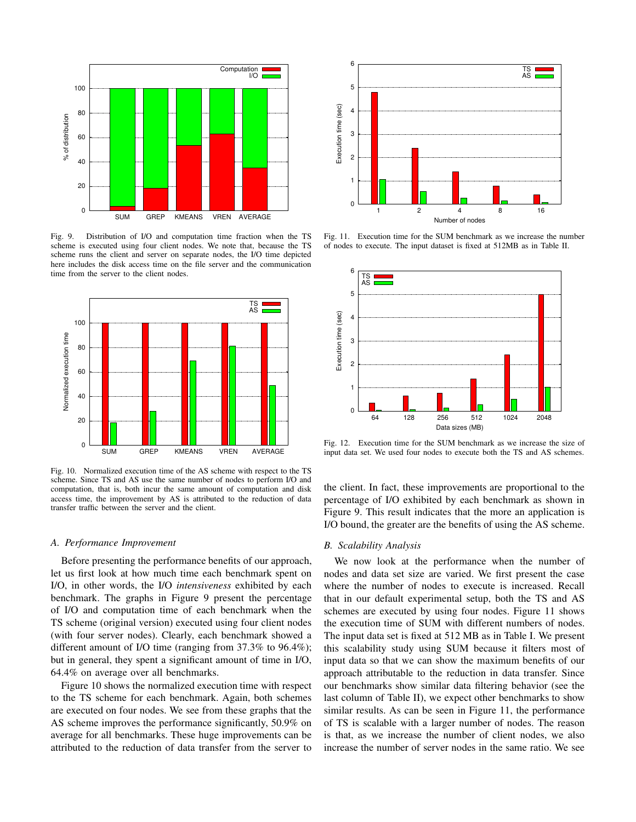

Fig. 9. Distribution of I/O and computation time fraction when the TS scheme is executed using four client nodes. We note that, because the TS scheme runs the client and server on separate nodes, the I/O time depicted here includes the disk access time on the file server and the communication time from the server to the client nodes.



Fig. 10. Normalized execution time of the AS scheme with respect to the TS scheme. Since TS and AS use the same number of nodes to perform I/O and computation, that is, both incur the same amount of computation and disk access time, the improvement by AS is attributed to the reduction of data transfer traffic between the server and the client.

## *A. Performance Improvement*

Before presenting the performance benefits of our approach, let us first look at how much time each benchmark spent on I/O, in other words, the I/O *intensiveness* exhibited by each benchmark. The graphs in Figure 9 present the percentage of I/O and computation time of each benchmark when the TS scheme (original version) executed using four client nodes (with four server nodes). Clearly, each benchmark showed a different amount of I/O time (ranging from 37.3% to 96.4%); but in general, they spent a significant amount of time in I/O, 64.4% on average over all benchmarks.

Figure 10 shows the normalized execution time with respect to the TS scheme for each benchmark. Again, both schemes are executed on four nodes. We see from these graphs that the AS scheme improves the performance significantly, 50.9% on average for all benchmarks. These huge improvements can be attributed to the reduction of data transfer from the server to



Fig. 11. Execution time for the SUM benchmark as we increase the number of nodes to execute. The input dataset is fixed at 512MB as in Table II.



Fig. 12. Execution time for the SUM benchmark as we increase the size of input data set. We used four nodes to execute both the TS and AS schemes.

the client. In fact, these improvements are proportional to the percentage of I/O exhibited by each benchmark as shown in Figure 9. This result indicates that the more an application is I/O bound, the greater are the benefits of using the AS scheme.

## *B. Scalability Analysis*

We now look at the performance when the number of nodes and data set size are varied. We first present the case where the number of nodes to execute is increased. Recall that in our default experimental setup, both the TS and AS schemes are executed by using four nodes. Figure 11 shows the execution time of SUM with different numbers of nodes. The input data set is fixed at 512 MB as in Table I. We present this scalability study using SUM because it filters most of input data so that we can show the maximum benefits of our approach attributable to the reduction in data transfer. Since our benchmarks show similar data filtering behavior (see the last column of Table II), we expect other benchmarks to show similar results. As can be seen in Figure 11, the performance of TS is scalable with a larger number of nodes. The reason is that, as we increase the number of client nodes, we also increase the number of server nodes in the same ratio. We see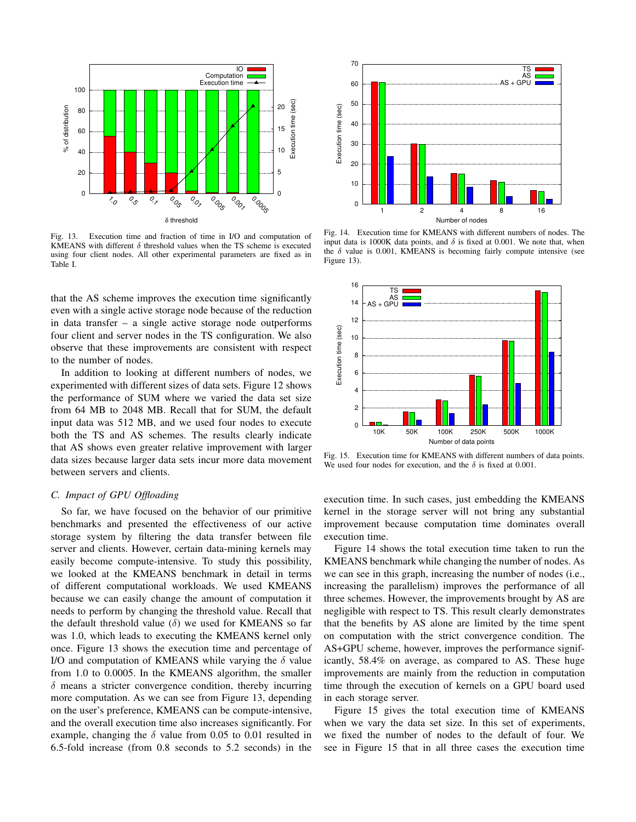

Fig. 13. Execution time and fraction of time in I/O and computation of KMEANS with different  $\delta$  threshold values when the TS scheme is executed using four client nodes. All other experimental parameters are fixed as in Table I.

that the AS scheme improves the execution time significantly even with a single active storage node because of the reduction in data transfer – a single active storage node outperforms four client and server nodes in the TS configuration. We also observe that these improvements are consistent with respect to the number of nodes.

In addition to looking at different numbers of nodes, we experimented with different sizes of data sets. Figure 12 shows the performance of SUM where we varied the data set size from 64 MB to 2048 MB. Recall that for SUM, the default input data was 512 MB, and we used four nodes to execute both the TS and AS schemes. The results clearly indicate that AS shows even greater relative improvement with larger data sizes because larger data sets incur more data movement between servers and clients.

## *C. Impact of GPU Offloading*

So far, we have focused on the behavior of our primitive benchmarks and presented the effectiveness of our active storage system by filtering the data transfer between file server and clients. However, certain data-mining kernels may easily become compute-intensive. To study this possibility, we looked at the KMEANS benchmark in detail in terms of different computational workloads. We used KMEANS because we can easily change the amount of computation it needs to perform by changing the threshold value. Recall that the default threshold value ( $\delta$ ) we used for KMEANS so far was 1.0, which leads to executing the KMEANS kernel only once. Figure 13 shows the execution time and percentage of I/O and computation of KMEANS while varying the  $\delta$  value from 1.0 to 0.0005. In the KMEANS algorithm, the smaller  $\delta$  means a stricter convergence condition, thereby incurring more computation. As we can see from Figure 13, depending on the user's preference, KMEANS can be compute-intensive, and the overall execution time also increases significantly. For example, changing the  $\delta$  value from 0.05 to 0.01 resulted in 6.5-fold increase (from 0.8 seconds to 5.2 seconds) in the



Fig. 14. Execution time for KMEANS with different numbers of nodes. The input data is 1000K data points, and  $\delta$  is fixed at 0.001. We note that, when the  $\delta$  value is 0.001, KMEANS is becoming fairly compute intensive (see Figure 13).



Fig. 15. Execution time for KMEANS with different numbers of data points. We used four nodes for execution, and the  $\delta$  is fixed at 0.001.

execution time. In such cases, just embedding the KMEANS kernel in the storage server will not bring any substantial improvement because computation time dominates overall execution time.

Figure 14 shows the total execution time taken to run the KMEANS benchmark while changing the number of nodes. As we can see in this graph, increasing the number of nodes (i.e., increasing the parallelism) improves the performance of all three schemes. However, the improvements brought by AS are negligible with respect to TS. This result clearly demonstrates that the benefits by AS alone are limited by the time spent on computation with the strict convergence condition. The AS+GPU scheme, however, improves the performance significantly, 58.4% on average, as compared to AS. These huge improvements are mainly from the reduction in computation time through the execution of kernels on a GPU board used in each storage server.

Figure 15 gives the total execution time of KMEANS when we vary the data set size. In this set of experiments, we fixed the number of nodes to the default of four. We see in Figure 15 that in all three cases the execution time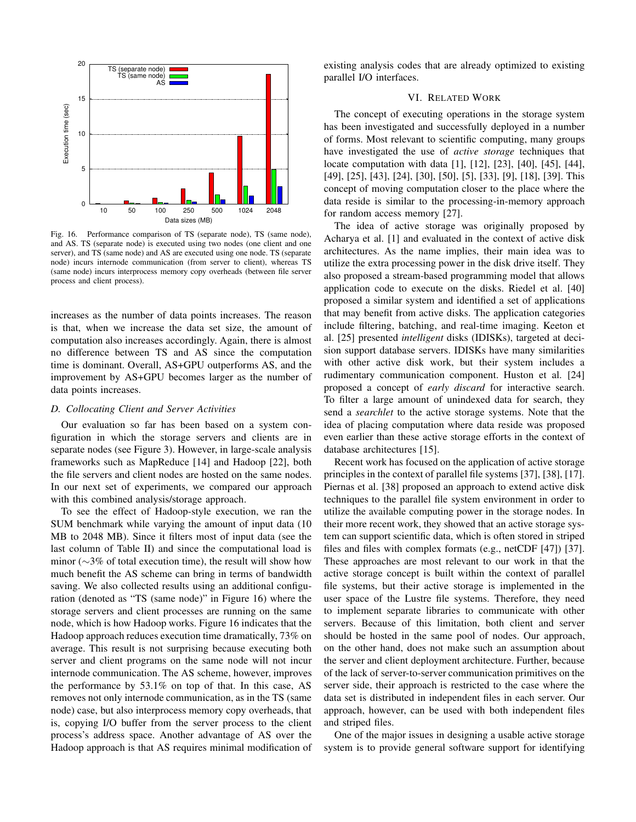

Fig. 16. Performance comparison of TS (separate node), TS (same node), and AS. TS (separate node) is executed using two nodes (one client and one server), and TS (same node) and AS are executed using one node. TS (separate node) incurs internode communication (from server to client), whereas TS (same node) incurs interprocess memory copy overheads (between file server process and client process).

increases as the number of data points increases. The reason is that, when we increase the data set size, the amount of computation also increases accordingly. Again, there is almost no difference between TS and AS since the computation time is dominant. Overall, AS+GPU outperforms AS, and the improvement by AS+GPU becomes larger as the number of data points increases.

#### *D. Collocating Client and Server Activities*

Our evaluation so far has been based on a system configuration in which the storage servers and clients are in separate nodes (see Figure 3). However, in large-scale analysis frameworks such as MapReduce [14] and Hadoop [22], both the file servers and client nodes are hosted on the same nodes. In our next set of experiments, we compared our approach with this combined analysis/storage approach.

To see the effect of Hadoop-style execution, we ran the SUM benchmark while varying the amount of input data (10 MB to 2048 MB). Since it filters most of input data (see the last column of Table II) and since the computational load is minor (∼3% of total execution time), the result will show how much benefit the AS scheme can bring in terms of bandwidth saving. We also collected results using an additional configuration (denoted as "TS (same node)" in Figure 16) where the storage servers and client processes are running on the same node, which is how Hadoop works. Figure 16 indicates that the Hadoop approach reduces execution time dramatically, 73% on average. This result is not surprising because executing both server and client programs on the same node will not incur internode communication. The AS scheme, however, improves the performance by 53.1% on top of that. In this case, AS removes not only internode communication, as in the TS (same node) case, but also interprocess memory copy overheads, that is, copying I/O buffer from the server process to the client process's address space. Another advantage of AS over the Hadoop approach is that AS requires minimal modification of existing analysis codes that are already optimized to existing parallel I/O interfaces.

## VI. RELATED WORK

The concept of executing operations in the storage system has been investigated and successfully deployed in a number of forms. Most relevant to scientific computing, many groups have investigated the use of *active storage* techniques that locate computation with data [1], [12], [23], [40], [45], [44], [49], [25], [43], [24], [30], [50], [5], [33], [9], [18], [39]. This concept of moving computation closer to the place where the data reside is similar to the processing-in-memory approach for random access memory [27].

The idea of active storage was originally proposed by Acharya et al. [1] and evaluated in the context of active disk architectures. As the name implies, their main idea was to utilize the extra processing power in the disk drive itself. They also proposed a stream-based programming model that allows application code to execute on the disks. Riedel et al. [40] proposed a similar system and identified a set of applications that may benefit from active disks. The application categories include filtering, batching, and real-time imaging. Keeton et al. [25] presented *intelligent* disks (IDISKs), targeted at decision support database servers. IDISKs have many similarities with other active disk work, but their system includes a rudimentary communication component. Huston et al. [24] proposed a concept of *early discard* for interactive search. To filter a large amount of unindexed data for search, they send a *searchlet* to the active storage systems. Note that the idea of placing computation where data reside was proposed even earlier than these active storage efforts in the context of database architectures [15].

Recent work has focused on the application of active storage principles in the context of parallel file systems [37], [38], [17]. Piernas et al. [38] proposed an approach to extend active disk techniques to the parallel file system environment in order to utilize the available computing power in the storage nodes. In their more recent work, they showed that an active storage system can support scientific data, which is often stored in striped files and files with complex formats (e.g., netCDF [47]) [37]. These approaches are most relevant to our work in that the active storage concept is built within the context of parallel file systems, but their active storage is implemented in the user space of the Lustre file systems. Therefore, they need to implement separate libraries to communicate with other servers. Because of this limitation, both client and server should be hosted in the same pool of nodes. Our approach, on the other hand, does not make such an assumption about the server and client deployment architecture. Further, because of the lack of server-to-server communication primitives on the server side, their approach is restricted to the case where the data set is distributed in independent files in each server. Our approach, however, can be used with both independent files and striped files.

One of the major issues in designing a usable active storage system is to provide general software support for identifying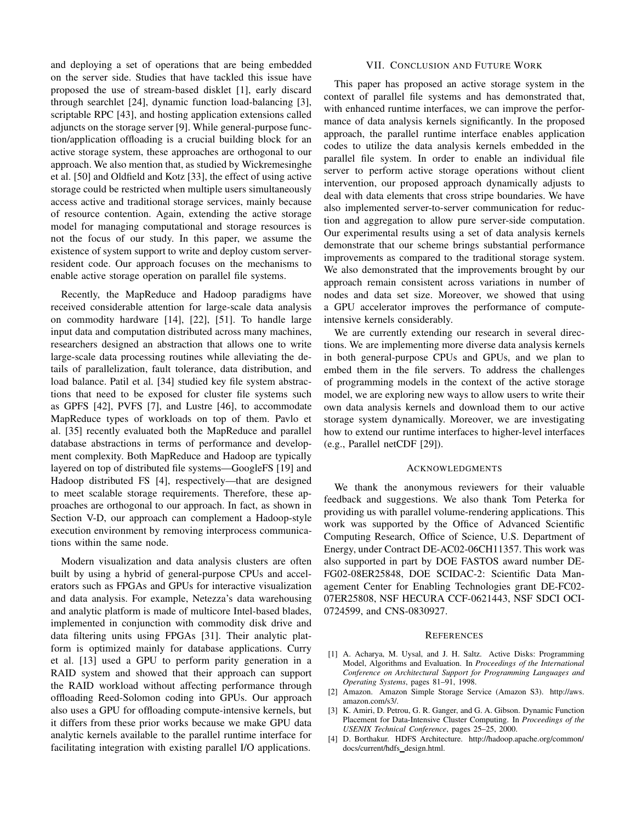and deploying a set of operations that are being embedded on the server side. Studies that have tackled this issue have proposed the use of stream-based disklet [1], early discard through searchlet [24], dynamic function load-balancing [3], scriptable RPC [43], and hosting application extensions called adjuncts on the storage server [9]. While general-purpose function/application offloading is a crucial building block for an active storage system, these approaches are orthogonal to our approach. We also mention that, as studied by Wickremesinghe et al. [50] and Oldfield and Kotz [33], the effect of using active storage could be restricted when multiple users simultaneously access active and traditional storage services, mainly because of resource contention. Again, extending the active storage model for managing computational and storage resources is not the focus of our study. In this paper, we assume the existence of system support to write and deploy custom serverresident code. Our approach focuses on the mechanisms to enable active storage operation on parallel file systems.

Recently, the MapReduce and Hadoop paradigms have received considerable attention for large-scale data analysis on commodity hardware [14], [22], [51]. To handle large input data and computation distributed across many machines, researchers designed an abstraction that allows one to write large-scale data processing routines while alleviating the details of parallelization, fault tolerance, data distribution, and load balance. Patil et al. [34] studied key file system abstractions that need to be exposed for cluster file systems such as GPFS [42], PVFS [7], and Lustre [46], to accommodate MapReduce types of workloads on top of them. Pavlo et al. [35] recently evaluated both the MapReduce and parallel database abstractions in terms of performance and development complexity. Both MapReduce and Hadoop are typically layered on top of distributed file systems—GoogleFS [19] and Hadoop distributed FS [4], respectively—that are designed to meet scalable storage requirements. Therefore, these approaches are orthogonal to our approach. In fact, as shown in Section V-D, our approach can complement a Hadoop-style execution environment by removing interprocess communications within the same node.

Modern visualization and data analysis clusters are often built by using a hybrid of general-purpose CPUs and accelerators such as FPGAs and GPUs for interactive visualization and data analysis. For example, Netezza's data warehousing and analytic platform is made of multicore Intel-based blades, implemented in conjunction with commodity disk drive and data filtering units using FPGAs [31]. Their analytic platform is optimized mainly for database applications. Curry et al. [13] used a GPU to perform parity generation in a RAID system and showed that their approach can support the RAID workload without affecting performance through offloading Reed-Solomon coding into GPUs. Our approach also uses a GPU for offloading compute-intensive kernels, but it differs from these prior works because we make GPU data analytic kernels available to the parallel runtime interface for facilitating integration with existing parallel I/O applications.

#### VII. CONCLUSION AND FUTURE WORK

This paper has proposed an active storage system in the context of parallel file systems and has demonstrated that, with enhanced runtime interfaces, we can improve the performance of data analysis kernels significantly. In the proposed approach, the parallel runtime interface enables application codes to utilize the data analysis kernels embedded in the parallel file system. In order to enable an individual file server to perform active storage operations without client intervention, our proposed approach dynamically adjusts to deal with data elements that cross stripe boundaries. We have also implemented server-to-server communication for reduction and aggregation to allow pure server-side computation. Our experimental results using a set of data analysis kernels demonstrate that our scheme brings substantial performance improvements as compared to the traditional storage system. We also demonstrated that the improvements brought by our approach remain consistent across variations in number of nodes and data set size. Moreover, we showed that using a GPU accelerator improves the performance of computeintensive kernels considerably.

We are currently extending our research in several directions. We are implementing more diverse data analysis kernels in both general-purpose CPUs and GPUs, and we plan to embed them in the file servers. To address the challenges of programming models in the context of the active storage model, we are exploring new ways to allow users to write their own data analysis kernels and download them to our active storage system dynamically. Moreover, we are investigating how to extend our runtime interfaces to higher-level interfaces (e.g., Parallel netCDF [29]).

#### ACKNOWLEDGMENTS

We thank the anonymous reviewers for their valuable feedback and suggestions. We also thank Tom Peterka for providing us with parallel volume-rendering applications. This work was supported by the Office of Advanced Scientific Computing Research, Office of Science, U.S. Department of Energy, under Contract DE-AC02-06CH11357. This work was also supported in part by DOE FASTOS award number DE-FG02-08ER25848, DOE SCIDAC-2: Scientific Data Management Center for Enabling Technologies grant DE-FC02- 07ER25808, NSF HECURA CCF-0621443, NSF SDCI OCI-0724599, and CNS-0830927.

#### **REFERENCES**

- [1] A. Acharya, M. Uysal, and J. H. Saltz. Active Disks: Programming Model, Algorithms and Evaluation. In *Proceedings of the International Conference on Architectural Support for Programming Languages and Operating Systems*, pages 81–91, 1998.
- [2] Amazon. Amazon Simple Storage Service (Amazon S3). http://aws. amazon.com/s3/.
- [3] K. Amiri, D. Petrou, G. R. Ganger, and G. A. Gibson. Dynamic Function Placement for Data-Intensive Cluster Computing. In *Proceedings of the USENIX Technical Conference*, pages 25–25, 2000.
- [4] D. Borthakur. HDFS Architecture. http://hadoop.apache.org/common/ docs/current/hdfs design.html.